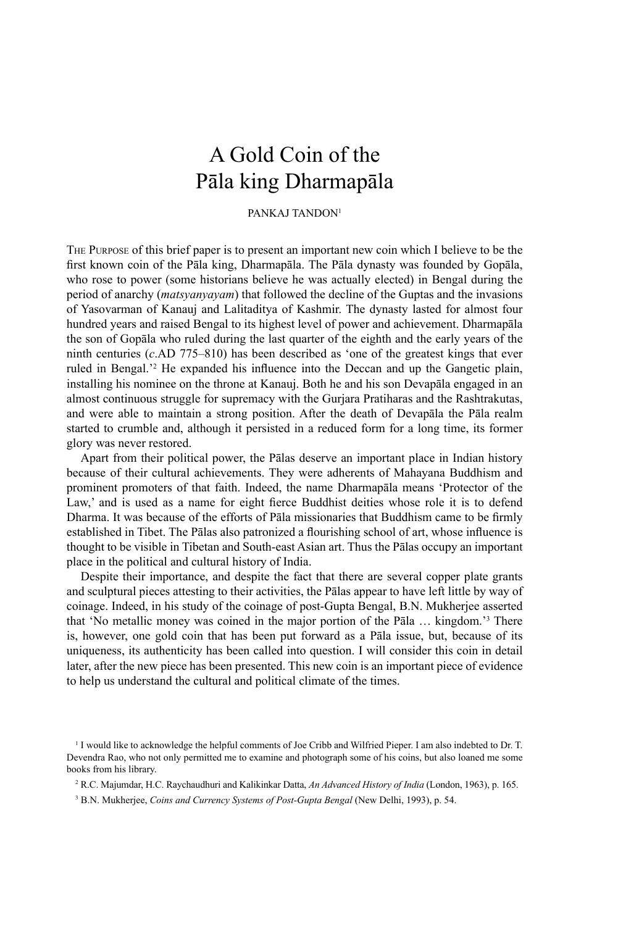# A Gold Coin of the Pāla king Dharmapāla

# PANKAJ TANDON<sup>1</sup>

THE PURPOSE of this brief paper is to present an important new coin which I believe to be the first known coin of the Pāla king, Dharmapāla. The Pāla dynasty was founded by Gopāla, who rose to power (some historians believe he was actually elected) in Bengal during the period of anarchy (*matsyanyayam*) that followed the decline of the Guptas and the invasions of Yasovarman of Kanauj and Lalitaditya of Kashmir. The dynasty lasted for almost four hundred years and raised Bengal to its highest level of power and achievement. Dharmapāla the son of Gopāla who ruled during the last quarter of the eighth and the early years of the ninth centuries (*c*.AD 775–810) has been described as 'one of the greatest kings that ever ruled in Bengal.<sup>22</sup> He expanded his influence into the Deccan and up the Gangetic plain, installing his nominee on the throne at Kanauj. Both he and his son Devapāla engaged in an almost continuous struggle for supremacy with the Gurjara Pratiharas and the Rashtrakutas, and were able to maintain a strong position. After the death of Devapāla the Pāla realm started to crumble and, although it persisted in a reduced form for a long time, its former glory was never restored.

Apart from their political power, the Pālas deserve an important place in Indian history because of their cultural achievements. They were adherents of Mahayana Buddhism and prominent promoters of that faith. Indeed, the name Dharmapāla means 'Protector of the Law,' and is used as a name for eight fierce Buddhist deities whose role it is to defend Dharma. It was because of the efforts of Pāla missionaries that Buddhism came to be firmly established in Tibet. The Pālas also patronized a flourishing school of art, whose influence is thought to be visible in Tibetan and South-east Asian art. Thus the Pālas occupy an important place in the political and cultural history of India.

Despite their importance, and despite the fact that there are several copper plate grants and sculptural pieces attesting to their activities, the Pālas appear to have left little by way of coinage. Indeed, in his study of the coinage of post-Gupta Bengal, B.N. Mukherjee asserted that 'No metallic money was coined in the major portion of the Pāla … kingdom.'3 There is, however, one gold coin that has been put forward as a Pāla issue, but, because of its uniqueness, its authenticity has been called into question. I will consider this coin in detail later, after the new piece has been presented. This new coin is an important piece of evidence to help us understand the cultural and political climate of the times.

<sup>&</sup>lt;sup>1</sup> I would like to acknowledge the helpful comments of Joe Cribb and Wilfried Pieper. I am also indebted to Dr. T. Devendra Rao, who not only permitted me to examine and photograph some of his coins, but also loaned me some books from his library.

<sup>2</sup> R.C. Majumdar, H.C. Raychaudhuri and Kalikinkar Datta, *An Advanced History of India* (London, 1963), p. 165.

<sup>3</sup> B.N. Mukherjee, *Coins and Currency Systems of Post-Gupta Bengal* (New Delhi, 1993), p. 54.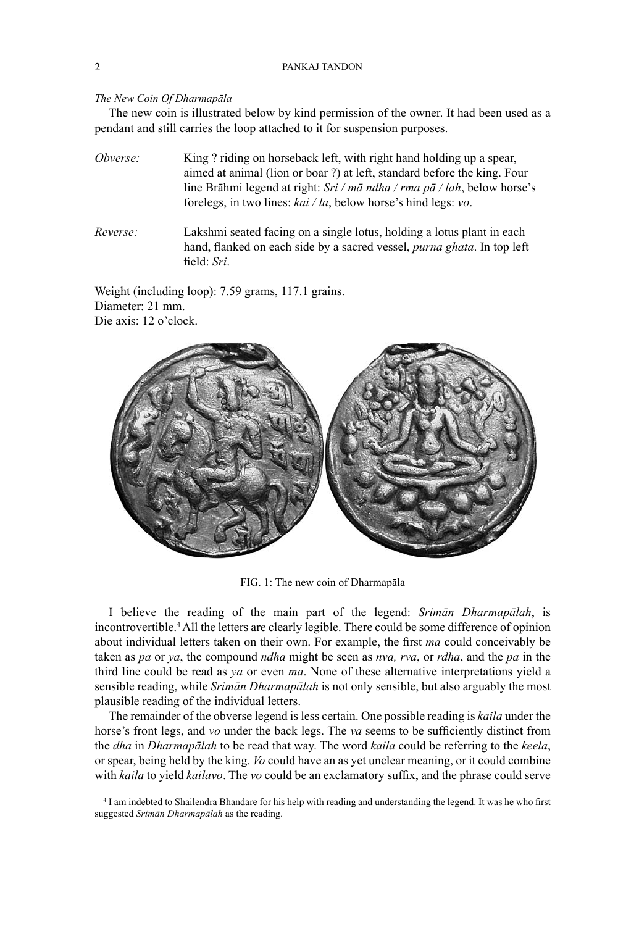## 2 PANKAJ TANDON

## *The New Coin Of Dharmapāla*

The new coin is illustrated below by kind permission of the owner. It had been used as a pendant and still carries the loop attached to it for suspension purposes.

*Obverse:* King ? riding on horseback left, with right hand holding up a spear, aimed at animal (lion or boar ?) at left, standard before the king. Four line Brāhmi legend at right: *Sri / mā ndha / rma pā / lah*, below horse's forelegs, in two lines: *kai / la*, below horse's hind legs: *vo*.

*Reverse:* Lakshmi seated facing on a single lotus, holding a lotus plant in each hand, flanked on each side by a sacred vessel, *purna ghata*. In top left field: *Sri*.

Weight (including loop): 7.59 grams, 117.1 grains. Diameter: 21 mm. Die axis: 12 o'clock.



FIG. 1: The new coin of Dharmapāla

I believe the reading of the main part of the legend: *Srimān Dharmapālah*, is incontrovertible.4 All the letters are clearly legible. There could be some difference of opinion about individual letters taken on their own. For example, the first *ma* could conceivably be taken as *pa* or *ya*, the compound *ndha* might be seen as *nva, rva*, or *rdha*, and the *pa* in the third line could be read as *ya* or even *ma*. None of these alternative interpretations yield a sensible reading, while *Srimān Dharmapālah* is not only sensible, but also arguably the most plausible reading of the individual letters.

The remainder of the obverse legend is less certain. One possible reading is *kaila* under the horse's front legs, and *vo* under the back legs. The *va* seems to be sufficiently distinct from the *dha* in *Dharmapālah* to be read that way. The word *kaila* could be referring to the *keela*, or spear, being held by the king. *Vo* could have an as yet unclear meaning, or it could combine with *kaila* to yield *kailavo*. The *vo* could be an exclamatory suffix, and the phrase could serve

<sup>&</sup>lt;sup>4</sup> I am indebted to Shailendra Bhandare for his help with reading and understanding the legend. It was he who first suggested *Srimān Dharmapālah* as the reading.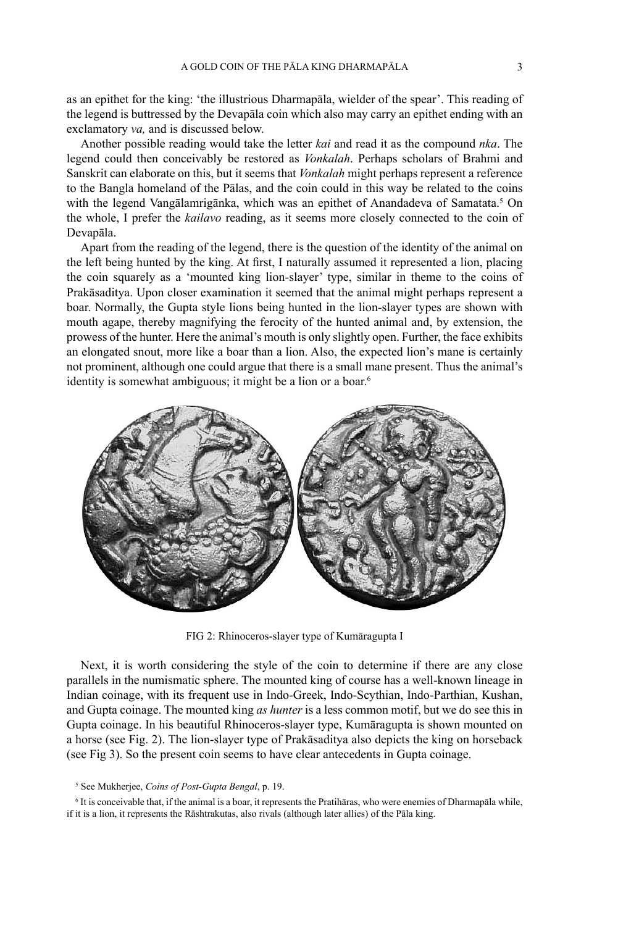as an epithet for the king: 'the illustrious Dharmapāla, wielder of the spear'. This reading of the legend is buttressed by the Devapāla coin which also may carry an epithet ending with an exclamatory *va,* and is discussed below.

Another possible reading would take the letter *kai* and read it as the compound *nka*. The legend could then conceivably be restored as *Vonkalah*. Perhaps scholars of Brahmi and Sanskrit can elaborate on this, but it seems that *Vonkalah* might perhaps represent a reference to the Bangla homeland of the Pālas, and the coin could in this way be related to the coins with the legend Vangālamrigānka, which was an epithet of Anandadeva of Samatata.<sup>5</sup> On the whole, I prefer the *kailavo* reading, as it seems more closely connected to the coin of Devapāla.

Apart from the reading of the legend, there is the question of the identity of the animal on the left being hunted by the king. At first, I naturally assumed it represented a lion, placing the coin squarely as a 'mounted king lion-slayer' type, similar in theme to the coins of Prakāsaditya. Upon closer examination it seemed that the animal might perhaps represent a boar. Normally, the Gupta style lions being hunted in the lion-slayer types are shown with mouth agape, thereby magnifying the ferocity of the hunted animal and, by extension, the prowess of the hunter. Here the animal's mouth is only slightly open. Further, the face exhibits an elongated snout, more like a boar than a lion. Also, the expected lion's mane is certainly not prominent, although one could argue that there is a small mane present. Thus the animal's identity is somewhat ambiguous; it might be a lion or a boar.<sup>6</sup>



FIG 2: Rhinoceros-slayer type of Kumāragupta I

Next, it is worth considering the style of the coin to determine if there are any close parallels in the numismatic sphere. The mounted king of course has a well-known lineage in Indian coinage, with its frequent use in Indo-Greek, Indo-Scythian, Indo-Parthian, Kushan, and Gupta coinage. The mounted king *as hunter* is a less common motif, but we do see this in Gupta coinage. In his beautiful Rhinoceros-slayer type, Kumāragupta is shown mounted on a horse (see Fig. 2). The lion-slayer type of Prakāsaditya also depicts the king on horseback (see Fig 3). So the present coin seems to have clear antecedents in Gupta coinage.

#### 5 See Mukherjee, *Coins of Post-Gupta Bengal*, p. 19.

6 It is conceivable that, if the animal is a boar, it represents the Pratihāras, who were enemies of Dharmapāla while, if it is a lion, it represents the Rāshtrakutas, also rivals (although later allies) of the Pāla king.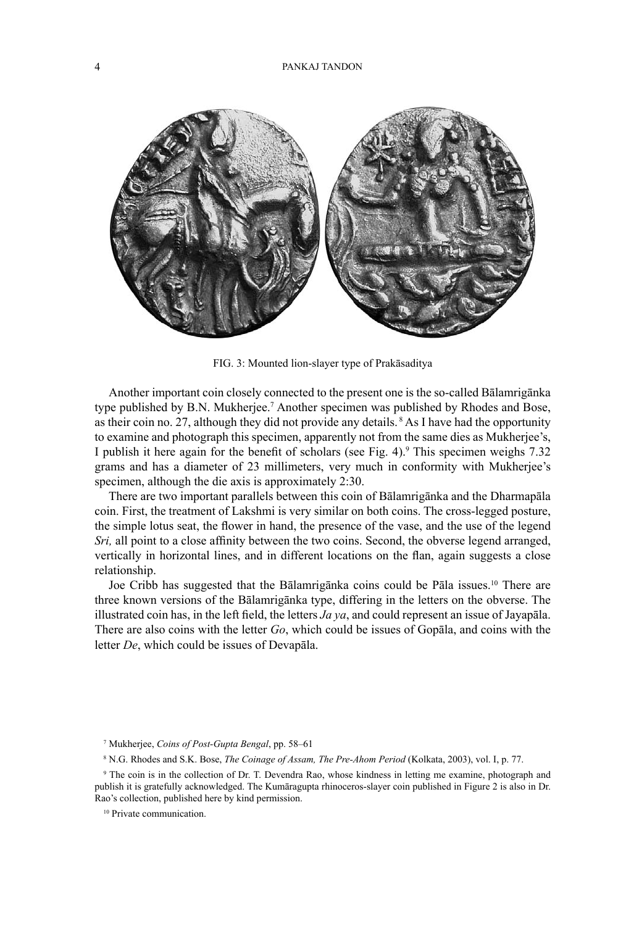

FIG. 3: Mounted lion-slayer type of Prakāsaditya

Another important coin closely connected to the present one is the so-called Bālamrigānka type published by B.N. Mukherjee.<sup>7</sup> Another specimen was published by Rhodes and Bose, as their coin no. 27, although they did not provide any details. 8 As I have had the opportunity to examine and photograph this specimen, apparently not from the same dies as Mukherjee's, I publish it here again for the benefit of scholars (see Fig. 4).<sup>9</sup> This specimen weighs 7.32 grams and has a diameter of 23 millimeters, very much in conformity with Mukherjee's specimen, although the die axis is approximately 2:30.

There are two important parallels between this coin of Bālamrigānka and the Dharmapāla coin. First, the treatment of Lakshmi is very similar on both coins. The cross-legged posture, the simple lotus seat, the flower in hand, the presence of the vase, and the use of the legend *Sri*, all point to a close affinity between the two coins. Second, the obverse legend arranged, vertically in horizontal lines, and in different locations on the flan, again suggests a close relationship.

Joe Cribb has suggested that the Bālamrigānka coins could be Pāla issues.10 There are three known versions of the Bālamrigānka type, differing in the letters on the obverse. The illustrated coin has, in the left field, the letters  $Ja$   $ya$ , and could represent an issue of Jayapala. There are also coins with the letter *Go*, which could be issues of Gopāla, and coins with the letter *De*, which could be issues of Devapāla.

<sup>7</sup> Mukherjee, *Coins of Post-Gupta Bengal*, pp. 58–61

<sup>8</sup> N.G. Rhodes and S.K. Bose, *The Coinage of Assam, The Pre-Ahom Period* (Kolkata, 2003), vol. I, p. 77.

<sup>9</sup> The coin is in the collection of Dr. T. Devendra Rao, whose kindness in letting me examine, photograph and publish it is gratefully acknowledged. The Kumāragupta rhinoceros-slayer coin published in Figure 2 is also in Dr. Rao's collection, published here by kind permission.

<sup>&</sup>lt;sup>10</sup> Private communication.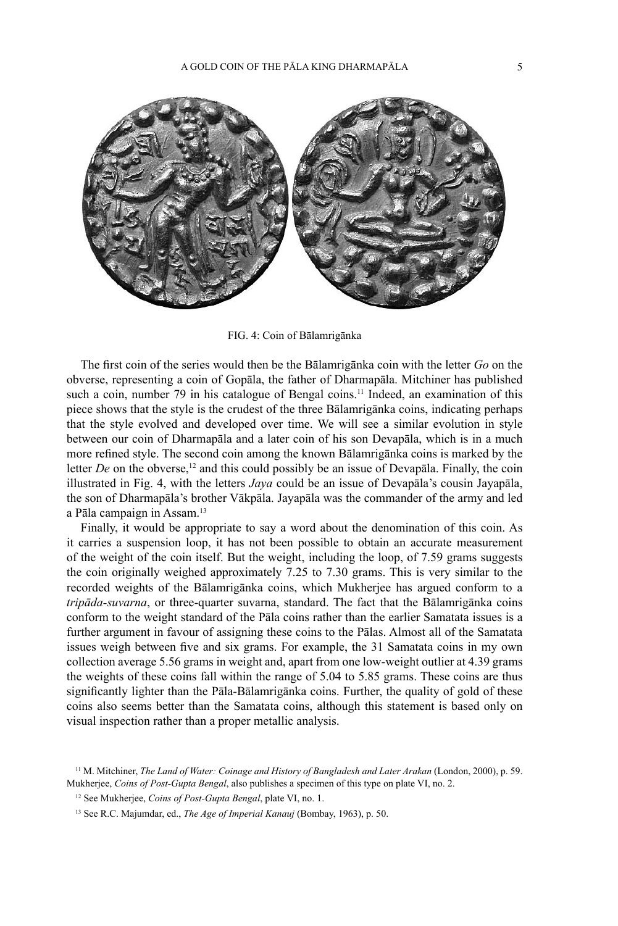

FIG. 4: Coin of Bālamrigānka

The first coin of the series would then be the Bālamrigānka coin with the letter *Go* on the obverse, representing a coin of Gopāla, the father of Dharmapāla. Mitchiner has published such a coin, number 79 in his catalogue of Bengal coins.<sup>11</sup> Indeed, an examination of this piece shows that the style is the crudest of the three Bālamrigānka coins, indicating perhaps that the style evolved and developed over time. We will see a similar evolution in style between our coin of Dharmapāla and a later coin of his son Devapāla, which is in a much more refined style. The second coin among the known Balamriganka coins is marked by the letter *De* on the obverse,<sup>12</sup> and this could possibly be an issue of Devapala. Finally, the coin illustrated in Fig. 4, with the letters *Jaya* could be an issue of Devapāla's cousin Jayapāla, the son of Dharmapāla's brother Vākpāla. Jayapāla was the commander of the army and led a Pāla campaign in Assam.13

Finally, it would be appropriate to say a word about the denomination of this coin. As it carries a suspension loop, it has not been possible to obtain an accurate measurement of the weight of the coin itself. But the weight, including the loop, of 7.59 grams suggests the coin originally weighed approximately 7.25 to 7.30 grams. This is very similar to the recorded weights of the Bālamrigānka coins, which Mukherjee has argued conform to a *tripāda-suvarna*, or three-quarter suvarna, standard. The fact that the Bālamrigānka coins conform to the weight standard of the Pāla coins rather than the earlier Samatata issues is a further argument in favour of assigning these coins to the Pālas. Almost all of the Samatata issues weigh between five and six grams. For example, the 31 Samatata coins in my own collection average 5.56 grams in weight and, apart from one low-weight outlier at 4.39 grams the weights of these coins fall within the range of 5.04 to 5.85 grams. These coins are thus significantly lighter than the Pāla-Bālamrigānka coins. Further, the quality of gold of these coins also seems better than the Samatata coins, although this statement is based only on visual inspection rather than a proper metallic analysis.

<sup>11</sup> M. Mitchiner, *The Land of Water: Coinage and History of Bangladesh and Later Arakan* (London, 2000), p. 59. Mukherjee, *Coins of Post-Gupta Bengal*, also publishes a specimen of this type on plate VI, no. 2.

<sup>12</sup> See Mukherjee, *Coins of Post-Gupta Bengal*, plate VI, no. 1.

<sup>13</sup> See R.C. Majumdar, ed., *The Age of Imperial Kanauj* (Bombay, 1963), p. 50.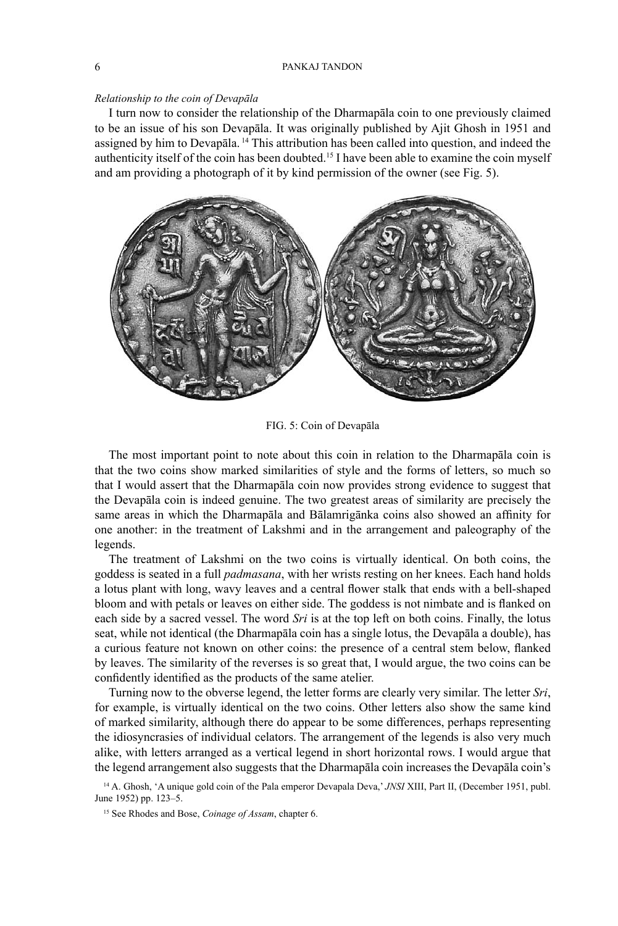## 6 PANKAJ TANDON

### *Relationship to the coin of Devapāla*

I turn now to consider the relationship of the Dharmapāla coin to one previously claimed to be an issue of his son Devapāla. It was originally published by Ajit Ghosh in 1951 and assigned by him to Devapāla. 14 This attribution has been called into question, and indeed the authenticity itself of the coin has been doubted.15 I have been able to examine the coin myself and am providing a photograph of it by kind permission of the owner (see Fig. 5).



FIG. 5: Coin of Devapāla

The most important point to note about this coin in relation to the Dharmapāla coin is that the two coins show marked similarities of style and the forms of letters, so much so that I would assert that the Dharmapāla coin now provides strong evidence to suggest that the Devapāla coin is indeed genuine. The two greatest areas of similarity are precisely the same areas in which the Dharmapala and Balamriganka coins also showed an affinity for one another: in the treatment of Lakshmi and in the arrangement and paleography of the legends.

The treatment of Lakshmi on the two coins is virtually identical. On both coins, the goddess is seated in a full *padmasana*, with her wrists resting on her knees. Each hand holds a lotus plant with long, wavy leaves and a central flower stalk that ends with a bell-shaped bloom and with petals or leaves on either side. The goddess is not nimbate and is flanked on each side by a sacred vessel. The word *Sri* is at the top left on both coins. Finally, the lotus seat, while not identical (the Dharmapāla coin has a single lotus, the Devapāla a double), has a curious feature not known on other coins: the presence of a central stem below, flanked by leaves. The similarity of the reverses is so great that, I would argue, the two coins can be confidently identified as the products of the same atelier.

Turning now to the obverse legend, the letter forms are clearly very similar. The letter *Sri*, for example, is virtually identical on the two coins. Other letters also show the same kind of marked similarity, although there do appear to be some differences, perhaps representing the idiosyncrasies of individual celators. The arrangement of the legends is also very much alike, with letters arranged as a vertical legend in short horizontal rows. I would argue that the legend arrangement also suggests that the Dharmapāla coin increases the Devapāla coin's

<sup>&</sup>lt;sup>14</sup> A. Ghosh, 'A unique gold coin of the Pala emperor Devapala Deva,' *JNSI* XIII, Part II, (December 1951, publ. June 1952) pp. 123–5.

<sup>15</sup> See Rhodes and Bose, *Coinage of Assam*, chapter 6.